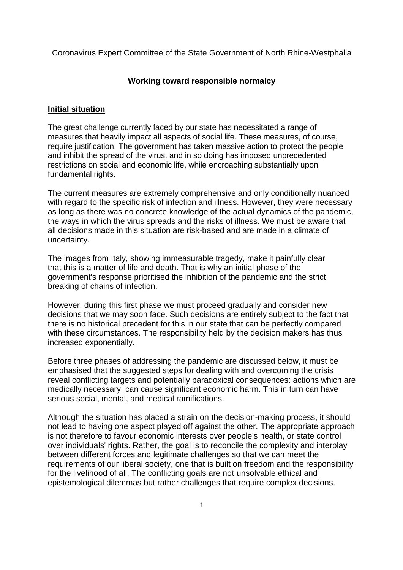Coronavirus Expert Committee of the State Government of North Rhine-Westphalia

### **Working toward responsible normalcy**

### **Initial situation**

The great challenge currently faced by our state has necessitated a range of measures that heavily impact all aspects of social life. These measures, of course, require justification. The government has taken massive action to protect the people and inhibit the spread of the virus, and in so doing has imposed unprecedented restrictions on social and economic life, while encroaching substantially upon fundamental rights.

The current measures are extremely comprehensive and only conditionally nuanced with regard to the specific risk of infection and illness. However, they were necessary as long as there was no concrete knowledge of the actual dynamics of the pandemic, the ways in which the virus spreads and the risks of illness. We must be aware that all decisions made in this situation are risk-based and are made in a climate of uncertainty.

The images from Italy, showing immeasurable tragedy, make it painfully clear that this is a matter of life and death. That is why an initial phase of the government's response prioritised the inhibition of the pandemic and the strict breaking of chains of infection.

However, during this first phase we must proceed gradually and consider new decisions that we may soon face. Such decisions are entirely subject to the fact that there is no historical precedent for this in our state that can be perfectly compared with these circumstances. The responsibility held by the decision makers has thus increased exponentially.

Before three phases of addressing the pandemic are discussed below, it must be emphasised that the suggested steps for dealing with and overcoming the crisis reveal conflicting targets and potentially paradoxical consequences: actions which are medically necessary, can cause significant economic harm. This in turn can have serious social, mental, and medical ramifications.

Although the situation has placed a strain on the decision-making process, it should not lead to having one aspect played off against the other. The appropriate approach is not therefore to favour economic interests over people's health, or state control over individuals' rights. Rather, the goal is to reconcile the complexity and interplay between different forces and legitimate challenges so that we can meet the requirements of our liberal society, one that is built on freedom and the responsibility for the livelihood of all. The conflicting goals are not unsolvable ethical and epistemological dilemmas but rather challenges that require complex decisions.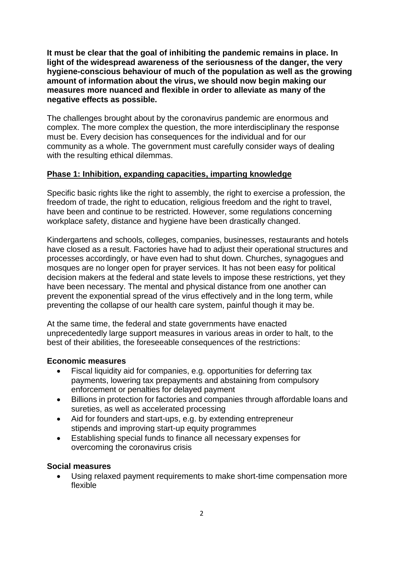**It must be clear that the goal of inhibiting the pandemic remains in place. In light of the widespread awareness of the seriousness of the danger, the very hygiene-conscious behaviour of much of the population as well as the growing amount of information about the virus, we should now begin making our measures more nuanced and flexible in order to alleviate as many of the negative effects as possible.**

The challenges brought about by the coronavirus pandemic are enormous and complex. The more complex the question, the more interdisciplinary the response must be. Every decision has consequences for the individual and for our community as a whole. The government must carefully consider ways of dealing with the resulting ethical dilemmas.

## **Phase 1: Inhibition, expanding capacities, imparting knowledge**

Specific basic rights like the right to assembly, the right to exercise a profession, the freedom of trade, the right to education, religious freedom and the right to travel, have been and continue to be restricted. However, some regulations concerning workplace safety, distance and hygiene have been drastically changed.

Kindergartens and schools, colleges, companies, businesses, restaurants and hotels have closed as a result. Factories have had to adjust their operational structures and processes accordingly, or have even had to shut down. Churches, synagogues and mosques are no longer open for prayer services. It has not been easy for political decision makers at the federal and state levels to impose these restrictions, yet they have been necessary. The mental and physical distance from one another can prevent the exponential spread of the virus effectively and in the long term, while preventing the collapse of our health care system, painful though it may be.

At the same time, the federal and state governments have enacted unprecedentedly large support measures in various areas in order to halt, to the best of their abilities, the foreseeable consequences of the restrictions:

#### **Economic measures**

- Fiscal liquidity aid for companies, e.g. opportunities for deferring tax payments, lowering tax prepayments and abstaining from compulsory enforcement or penalties for delayed payment
- Billions in protection for factories and companies through affordable loans and sureties, as well as accelerated processing
- Aid for founders and start-ups, e.g. by extending entrepreneur stipends and improving start-up equity programmes
- Establishing special funds to finance all necessary expenses for overcoming the coronavirus crisis

#### **Social measures**

 Using relaxed payment requirements to make short-time compensation more flexible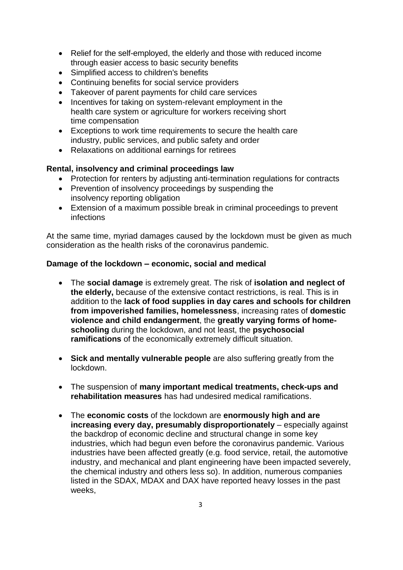- Relief for the self-employed, the elderly and those with reduced income through easier access to basic security benefits
- Simplified access to children's benefits
- Continuing benefits for social service providers
- Takeover of parent payments for child care services
- Incentives for taking on system-relevant employment in the health care system or agriculture for workers receiving short time compensation
- Exceptions to work time requirements to secure the health care industry, public services, and public safety and order
- Relaxations on additional earnings for retirees

## **Rental, insolvency and criminal proceedings law**

- Protection for renters by adjusting anti-termination regulations for contracts
- Prevention of insolvency proceedings by suspending the insolvency reporting obligation
- Extension of a maximum possible break in criminal proceedings to prevent infections

At the same time, myriad damages caused by the lockdown must be given as much consideration as the health risks of the coronavirus pandemic.

## **Damage of the lockdown – economic, social and medical**

- The **social damage** is extremely great. The risk of **isolation and neglect of the elderly,** because of the extensive contact restrictions, is real. This is in addition to the **lack of food supplies in day cares and schools for children from impoverished families, homelessness**, increasing rates of **domestic violence and child endangerment**, the **greatly varying forms of homeschooling** during the lockdown, and not least, the **psychosocial ramifications** of the economically extremely difficult situation.
- **Sick and mentally vulnerable people** are also suffering greatly from the lockdown.
- The suspension of **many important medical treatments, check-ups and rehabilitation measures** has had undesired medical ramifications.
- The **economic costs** of the lockdown are **enormously high and are increasing every day, presumably disproportionately** – especially against the backdrop of economic decline and structural change in some key industries, which had begun even before the coronavirus pandemic. Various industries have been affected greatly (e.g. food service, retail, the automotive industry, and mechanical and plant engineering have been impacted severely, the chemical industry and others less so). In addition, numerous companies listed in the SDAX, MDAX and DAX have reported heavy losses in the past weeks,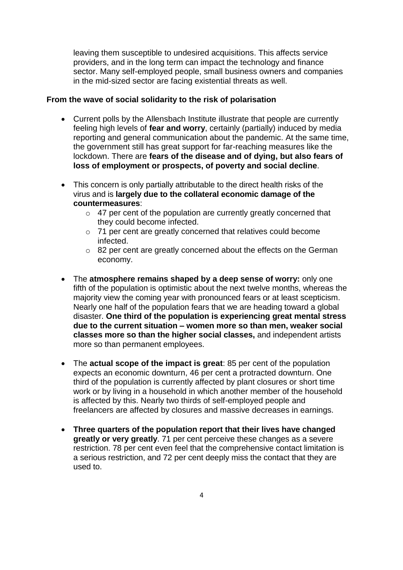leaving them susceptible to undesired acquisitions. This affects service providers, and in the long term can impact the technology and finance sector. Many self-employed people, small business owners and companies in the mid-sized sector are facing existential threats as well.

#### **From the wave of social solidarity to the risk of polarisation**

- Current polls by the Allensbach Institute illustrate that people are currently feeling high levels of **fear and worry**, certainly (partially) induced by media reporting and general communication about the pandemic. At the same time, the government still has great support for far-reaching measures like the lockdown. There are **fears of the disease and of dying, but also fears of loss of employment or prospects, of poverty and social decline**.
- This concern is only partially attributable to the direct health risks of the virus and is **largely due to the collateral economic damage of the countermeasures**:
	- $\circ$  47 per cent of the population are currently greatly concerned that they could become infected.
	- o 71 per cent are greatly concerned that relatives could become infected.
	- $\circ$  82 per cent are greatly concerned about the effects on the German economy.
- The **atmosphere remains shaped by a deep sense of worry:** only one fifth of the population is optimistic about the next twelve months, whereas the majority view the coming year with pronounced fears or at least scepticism. Nearly one half of the population fears that we are heading toward a global disaster. **One third of the population is experiencing great mental stress due to the current situation – women more so than men, weaker social classes more so than the higher social classes,** and independent artists more so than permanent employees.
- The **actual scope of the impact is great**: 85 per cent of the population expects an economic downturn, 46 per cent a protracted downturn. One third of the population is currently affected by plant closures or short time work or by living in a household in which another member of the household is affected by this. Nearly two thirds of self-employed people and freelancers are affected by closures and massive decreases in earnings.
- **Three quarters of the population report that their lives have changed greatly or very greatly**. 71 per cent perceive these changes as a severe restriction. 78 per cent even feel that the comprehensive contact limitation is a serious restriction, and 72 per cent deeply miss the contact that they are used to.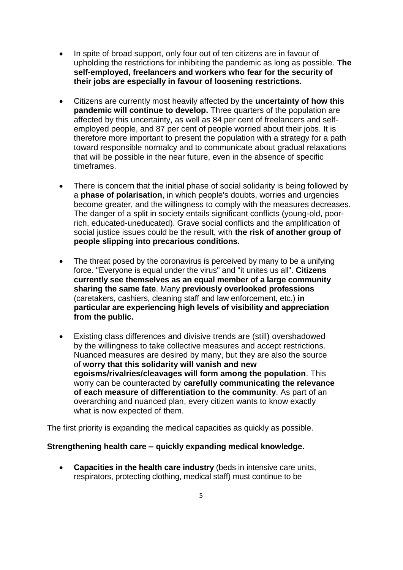- In spite of broad support, only four out of ten citizens are in favour of upholding the restrictions for inhibiting the pandemic as long as possible. **The self-employed, freelancers and workers who fear for the security of their jobs are especially in favour of loosening restrictions.**
- Citizens are currently most heavily affected by the **uncertainty of how this pandemic will continue to develop.** Three quarters of the population are affected by this uncertainty, as well as 84 per cent of freelancers and selfemployed people, and 87 per cent of people worried about their jobs. It is therefore more important to present the population with a strategy for a path toward responsible normalcy and to communicate about gradual relaxations that will be possible in the near future, even in the absence of specific timeframes.
- There is concern that the initial phase of social solidarity is being followed by a **phase of polarisation**, in which people's doubts, worries and urgencies become greater, and the willingness to comply with the measures decreases. The danger of a split in society entails significant conflicts (young-old, poorrich, educated-uneducated). Grave social conflicts and the amplification of social justice issues could be the result, with **the risk of another group of people slipping into precarious conditions.**
- The threat posed by the coronavirus is perceived by many to be a unifying force. "Everyone is equal under the virus" and "it unites us all". **Citizens currently see themselves as an equal member of a large community sharing the same fate**. Many **previously overlooked professions** (caretakers, cashiers, cleaning staff and law enforcement, etc.) **in particular are experiencing high levels of visibility and appreciation from the public.**
- Existing class differences and divisive trends are (still) overshadowed by the willingness to take collective measures and accept restrictions. Nuanced measures are desired by many, but they are also the source of **worry that this solidarity will vanish and new egoisms/rivalries/cleavages will form among the population**. This worry can be counteracted by **carefully communicating the relevance of each measure of differentiation to the community**. As part of an overarching and nuanced plan, every citizen wants to know exactly what is now expected of them.

The first priority is expanding the medical capacities as quickly as possible.

## **Strengthening health care – quickly expanding medical knowledge.**

 **Capacities in the health care industry** (beds in intensive care units, respirators, protecting clothing, medical staff) must continue to be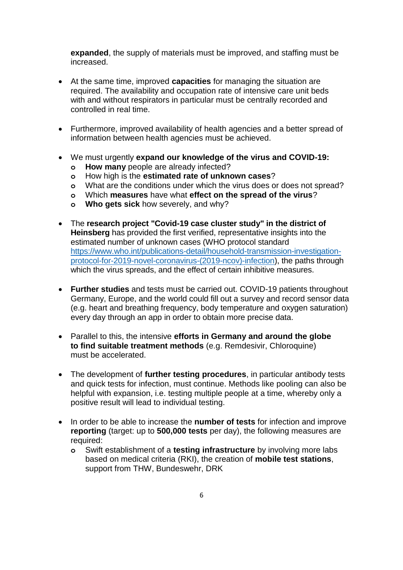**expanded**, the supply of materials must be improved, and staffing must be increased.

- At the same time, improved **capacities** for managing the situation are required. The availability and occupation rate of intensive care unit beds with and without respirators in particular must be centrally recorded and controlled in real time.
- Furthermore, improved availability of health agencies and a better spread of information between health agencies must be achieved.
- We must urgently **expand our knowledge of the virus and COVID-19:**
	- **o How many** people are already infected?
	- **o** How high is the **estimated rate of unknown cases**?
	- **o** What are the conditions under which the virus does or does not spread?
	- **o** Which **measures** have what **effect on the spread of the virus**?
	- **o Who gets sick** how severely, and why?
- The **research project "Covid-19 case cluster study" in the district of Heinsberg** has provided the first verified, representative insights into the estimated number of unknown cases (WHO protocol standard [https://www.who.int/publications-detail/household-transmission-investigation](https://www.who.int/publications-detail/household-transmission-investigation-protocol-for-2019-novel-coronavirus-(2019-ncov)-infection))[protocol-for-2019-novel-coronavirus-\(2019-ncov\)-infection\)](https://www.who.int/publications-detail/household-transmission-investigation-protocol-for-2019-novel-coronavirus-(2019-ncov)-infection)), the paths through which the virus spreads, and the effect of certain inhibitive measures.
- **Further studies** and tests must be carried out. COVID-19 patients throughout Germany, Europe, and the world could fill out a survey and record sensor data (e.g. heart and breathing frequency, body temperature and oxygen saturation) every day through an app in order to obtain more precise data.
- Parallel to this, the intensive **efforts in Germany and around the globe to find suitable treatment methods** (e.g. Remdesivir, Chloroquine) must be accelerated.
- The development of **further testing procedures**, in particular antibody tests and quick tests for infection, must continue. Methods like pooling can also be helpful with expansion, i.e. testing multiple people at a time, whereby only a positive result will lead to individual testing.
- In order to be able to increase the **number of tests** for infection and improve **reporting** (target: up to **500,000 tests** per day), the following measures are required:
	- **o** Swift establishment of a **testing infrastructure** by involving more labs based on medical criteria (RKI), the creation of **mobile test stations**, support from THW, Bundeswehr, DRK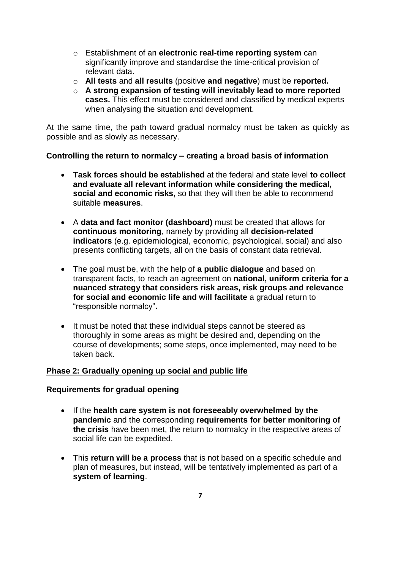- o Establishment of an **electronic real-time reporting system** can significantly improve and standardise the time-critical provision of relevant data.
- o **All tests** and **all results** (positive **and negative**) must be **reported.**
- o **A strong expansion of testing will inevitably lead to more reported cases.** This effect must be considered and classified by medical experts when analysing the situation and development.

At the same time, the path toward gradual normalcy must be taken as quickly as possible and as slowly as necessary.

## **Controlling the return to normalcy – creating a broad basis of information**

- **Task forces should be established** at the federal and state level **to collect and evaluate all relevant information while considering the medical, social and economic risks,** so that they will then be able to recommend suitable **measures**.
- A **data and fact monitor (dashboard)** must be created that allows for **continuous monitoring**, namely by providing all **decision-related indicators** (e.g. epidemiological, economic, psychological, social) and also presents conflicting targets, all on the basis of constant data retrieval.
- The goal must be, with the help of **a public dialogue** and based on transparent facts, to reach an agreement on **national, uniform criteria for a nuanced strategy that considers risk areas, risk groups and relevance for social and economic life and will facilitate** a gradual return to "responsible normalcy"**.**
- It must be noted that these individual steps cannot be steered as thoroughly in some areas as might be desired and, depending on the course of developments; some steps, once implemented, may need to be taken back.

## **Phase 2: Gradually opening up social and public life**

## **Requirements for gradual opening**

- If the **health care system is not foreseeably overwhelmed by the pandemic** and the corresponding **requirements for better monitoring of the crisis** have been met, the return to normalcy in the respective areas of social life can be expedited.
- This **return will be a process** that is not based on a specific schedule and plan of measures, but instead, will be tentatively implemented as part of a **system of learning**.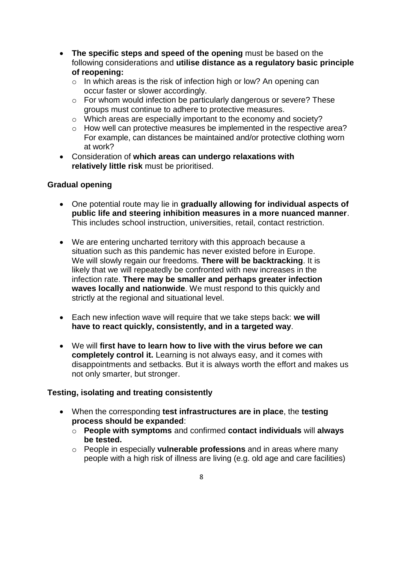- **The specific steps and speed of the opening** must be based on the following considerations and **utilise distance as a regulatory basic principle of reopening:**
	- o In which areas is the risk of infection high or low? An opening can occur faster or slower accordingly.
	- o For whom would infection be particularly dangerous or severe? These groups must continue to adhere to protective measures.
	- o Which areas are especially important to the economy and society?
	- o How well can protective measures be implemented in the respective area? For example, can distances be maintained and/or protective clothing worn at work?
- Consideration of **which areas can undergo relaxations with relatively little risk** must be prioritised.

# **Gradual opening**

- One potential route may lie in **gradually allowing for individual aspects of public life and steering inhibition measures in a more nuanced manner**. This includes school instruction, universities, retail, contact restriction.
- We are entering uncharted territory with this approach because a situation such as this pandemic has never existed before in Europe. We will slowly regain our freedoms. **There will be backtracking**. It is likely that we will repeatedly be confronted with new increases in the infection rate. **There may be smaller and perhaps greater infection waves locally and nationwide**. We must respond to this quickly and strictly at the regional and situational level.
- Each new infection wave will require that we take steps back: **we will have to react quickly, consistently, and in a targeted way**.
- We will **first have to learn how to live with the virus before we can completely control it.** Learning is not always easy, and it comes with disappointments and setbacks. But it is always worth the effort and makes us not only smarter, but stronger.

# **Testing, isolating and treating consistently**

- When the corresponding **test infrastructures are in place**, the **testing process should be expanded**:
	- o **People with symptoms** and confirmed **contact individuals** will **always be tested.**
	- o People in especially **vulnerable professions** and in areas where many people with a high risk of illness are living (e.g. old age and care facilities)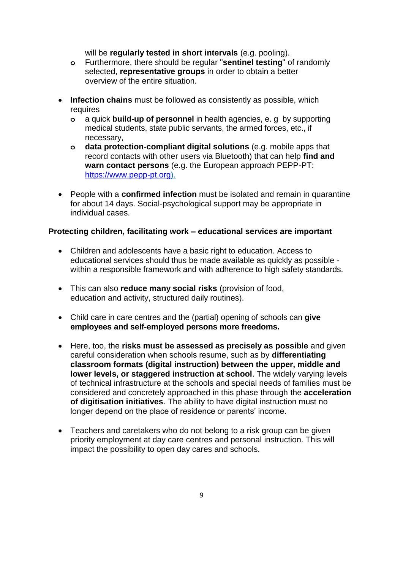will be **regularly tested in short intervals** (e.g. pooling).

- **o** Furthermore, there should be regular "**sentinel testing**" of randomly selected, **representative groups** in order to obtain a better overview of the entire situation.
- **Infection chains** must be followed as consistently as possible, which requires
	- **o** a quick **build-up of personnel** in health agencies, e. g by supporting medical students, state public servants, the armed forces, etc., if necessary,
	- **o data protection-compliant digital solutions** (e.g. mobile apps that record contacts with other users via Bluetooth) that can help **find and warn contact persons** (e.g. the European approach PEPP-PT: [https://www.pepp-pt.org\)](https://www.pepp-pt.org/).
- People with a **confirmed infection** must be isolated and remain in quarantine for about 14 days. Social-psychological support may be appropriate in individual cases.

## **Protecting children, facilitating work – educational services are important**

- Children and adolescents have a basic right to education. Access to educational services should thus be made available as quickly as possible within a responsible framework and with adherence to high safety standards.
- This can also **reduce many social risks** (provision of food, education and activity, structured daily routines).
- Child care in care centres and the (partial) opening of schools can **give employees and self-employed persons more freedoms.**
- Here, too, the **risks must be assessed as precisely as possible** and given careful consideration when schools resume, such as by **differentiating classroom formats (digital instruction) between the upper, middle and lower levels, or staggered instruction at school**. The widely varying levels of technical infrastructure at the schools and special needs of families must be considered and concretely approached in this phase through the **acceleration of digitisation initiatives**. The ability to have digital instruction must no longer depend on the place of residence or parents' income.
- Teachers and caretakers who do not belong to a risk group can be given priority employment at day care centres and personal instruction. This will impact the possibility to open day cares and schools.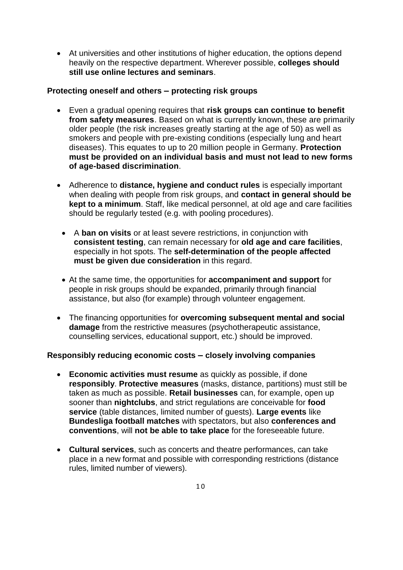At universities and other institutions of higher education, the options depend heavily on the respective department. Wherever possible, **colleges should still use online lectures and seminars**.

## **Protecting oneself and others – protecting risk groups**

- Even a gradual opening requires that **risk groups can continue to benefit from safety measures**. Based on what is currently known, these are primarily older people (the risk increases greatly starting at the age of 50) as well as smokers and people with pre-existing conditions (especially lung and heart diseases). This equates to up to 20 million people in Germany. **Protection must be provided on an individual basis and must not lead to new forms of age-based discrimination**.
- Adherence to **distance, hygiene and conduct rules** is especially important when dealing with people from risk groups, and **contact in general should be kept to a minimum.** Staff, like medical personnel, at old age and care facilities should be regularly tested (e.g. with pooling procedures).
	- A **ban on visits** or at least severe restrictions, in conjunction with **consistent testing**, can remain necessary for **old age and care facilities**, especially in hot spots. The **self-determination of the people affected must be given due consideration** in this regard.
	- At the same time, the opportunities for **accompaniment and support** for people in risk groups should be expanded, primarily through financial assistance, but also (for example) through volunteer engagement.
- The financing opportunities for **overcoming subsequent mental and social damage** from the restrictive measures (psychotherapeutic assistance, counselling services, educational support, etc.) should be improved.

# **Responsibly reducing economic costs – closely involving companies**

- **Economic activities must resume** as quickly as possible, if done **responsibly**. **Protective measures** (masks, distance, partitions) must still be taken as much as possible. **Retail businesses** can, for example, open up sooner than **nightclubs**, and strict regulations are conceivable for **food service** (table distances, limited number of guests). **Large events** like **Bundesliga football matches** with spectators, but also **conferences and conventions**, will **not be able to take place** for the foreseeable future.
- **Cultural services**, such as concerts and theatre performances, can take place in a new format and possible with corresponding restrictions (distance rules, limited number of viewers).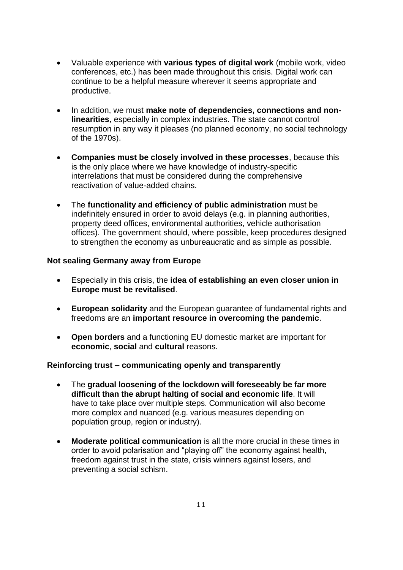- Valuable experience with **various types of digital work** (mobile work, video conferences, etc.) has been made throughout this crisis. Digital work can continue to be a helpful measure wherever it seems appropriate and productive.
- In addition, we must make note of dependencies, connections and non**linearities**, especially in complex industries. The state cannot control resumption in any way it pleases (no planned economy, no social technology of the 1970s).
- **Companies must be closely involved in these processes**, because this is the only place where we have knowledge of industry-specific interrelations that must be considered during the comprehensive reactivation of value-added chains.
- The **functionality and efficiency of public administration** must be indefinitely ensured in order to avoid delays (e.g. in planning authorities, property deed offices, environmental authorities, vehicle authorisation offices). The government should, where possible, keep procedures designed to strengthen the economy as unbureaucratic and as simple as possible.

## **Not sealing Germany away from Europe**

- Especially in this crisis, the **idea of establishing an even closer union in Europe must be revitalised**.
- **European solidarity** and the European guarantee of fundamental rights and freedoms are an **important resource in overcoming the pandemic**.
- **Open borders** and a functioning EU domestic market are important for **economic**, **social** and **cultural** reasons.

#### **Reinforcing trust – communicating openly and transparently**

- The **gradual loosening of the lockdown will foreseeably be far more difficult than the abrupt halting of social and economic life**. It will have to take place over multiple steps. Communication will also become more complex and nuanced (e.g. various measures depending on population group, region or industry).
- **Moderate political communication** is all the more crucial in these times in order to avoid polarisation and "playing off" the economy against health, freedom against trust in the state, crisis winners against losers, and preventing a social schism.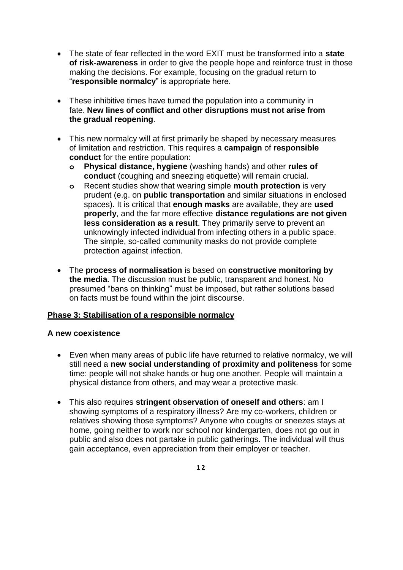- The state of fear reflected in the word EXIT must be transformed into a **state of risk-awareness** in order to give the people hope and reinforce trust in those making the decisions. For example, focusing on the gradual return to "**responsible normalcy**" is appropriate here.
- These inhibitive times have turned the population into a community in fate. **New lines of conflict and other disruptions must not arise from the gradual reopening**.
- This new normalcy will at first primarily be shaped by necessary measures of limitation and restriction. This requires a **campaign** of **responsible conduct** for the entire population:
	- **o Physical distance, hygiene** (washing hands) and other **rules of conduct** (coughing and sneezing etiquette) will remain crucial.
	- **o** Recent studies show that wearing simple **mouth protection** is very prudent (e.g. on **public transportation** and similar situations in enclosed spaces). It is critical that **enough masks** are available, they are **used properly**, and the far more effective **distance regulations are not given less consideration as a result**. They primarily serve to prevent an unknowingly infected individual from infecting others in a public space. The simple, so-called community masks do not provide complete protection against infection.
- The **process of normalisation** is based on **constructive monitoring by the media**. The discussion must be public, transparent and honest. No presumed "bans on thinking" must be imposed, but rather solutions based on facts must be found within the joint discourse.

# **Phase 3: Stabilisation of a responsible normalcy**

## **A new coexistence**

- Even when many areas of public life have returned to relative normalcy, we will still need a **new social understanding of proximity and politeness** for some time: people will not shake hands or hug one another. People will maintain a physical distance from others, and may wear a protective mask.
- This also requires **stringent observation of oneself and others**: am I showing symptoms of a respiratory illness? Are my co-workers, children or relatives showing those symptoms? Anyone who coughs or sneezes stays at home, going neither to work nor school nor kindergarten, does not go out in public and also does not partake in public gatherings. The individual will thus gain acceptance, even appreciation from their employer or teacher.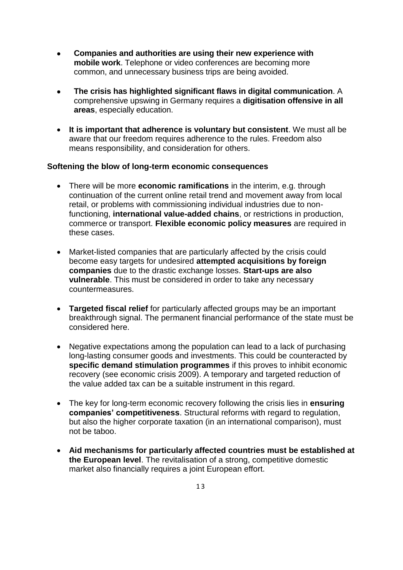- **Companies and authorities are using their new experience with mobile work**. Telephone or video conferences are becoming more common, and unnecessary business trips are being avoided.
- **The crisis has highlighted significant flaws in digital communication**. A comprehensive upswing in Germany requires a **digitisation offensive in all areas**, especially education.
- **It is important that adherence is voluntary but consistent**. We must all be aware that our freedom requires adherence to the rules. Freedom also means responsibility, and consideration for others.

### **Softening the blow of long-term economic consequences**

- There will be more **economic ramifications** in the interim, e.g. through continuation of the current online retail trend and movement away from local retail, or problems with commissioning individual industries due to nonfunctioning, **international value-added chains**, or restrictions in production, commerce or transport. **Flexible economic policy measures** are required in these cases.
- Market-listed companies that are particularly affected by the crisis could become easy targets for undesired **attempted acquisitions by foreign companies** due to the drastic exchange losses. **Start-ups are also vulnerable**. This must be considered in order to take any necessary countermeasures.
- **Targeted fiscal relief** for particularly affected groups may be an important breakthrough signal. The permanent financial performance of the state must be considered here.
- Negative expectations among the population can lead to a lack of purchasing long-lasting consumer goods and investments. This could be counteracted by **specific demand stimulation programmes** if this proves to inhibit economic recovery (see economic crisis 2009). A temporary and targeted reduction of the value added tax can be a suitable instrument in this regard.
- The key for long-term economic recovery following the crisis lies in **ensuring companies' competitiveness**. Structural reforms with regard to regulation, but also the higher corporate taxation (in an international comparison), must not be taboo.
- **Aid mechanisms for particularly affected countries must be established at the European level**. The revitalisation of a strong, competitive domestic market also financially requires a joint European effort.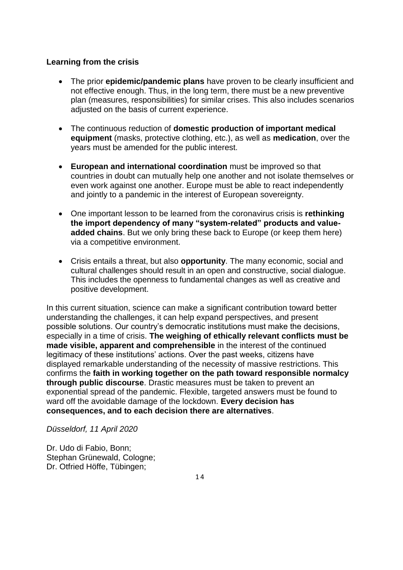## **Learning from the crisis**

- The prior **epidemic/pandemic plans** have proven to be clearly insufficient and not effective enough. Thus, in the long term, there must be a new preventive plan (measures, responsibilities) for similar crises. This also includes scenarios adjusted on the basis of current experience.
- The continuous reduction of **domestic production of important medical equipment** (masks, protective clothing, etc.), as well as **medication**, over the years must be amended for the public interest.
- **European and international coordination** must be improved so that countries in doubt can mutually help one another and not isolate themselves or even work against one another. Europe must be able to react independently and jointly to a pandemic in the interest of European sovereignty.
- One important lesson to be learned from the coronavirus crisis is **rethinking the import dependency of many "system-related" products and valueadded chains**. But we only bring these back to Europe (or keep them here) via a competitive environment.
- Crisis entails a threat, but also **opportunity**. The many economic, social and cultural challenges should result in an open and constructive, social dialogue. This includes the openness to fundamental changes as well as creative and positive development.

In this current situation, science can make a significant contribution toward better understanding the challenges, it can help expand perspectives, and present possible solutions. Our country's democratic institutions must make the decisions, especially in a time of crisis. **The weighing of ethically relevant conflicts must be made visible, apparent and comprehensible** in the interest of the continued legitimacy of these institutions' actions. Over the past weeks, citizens have displayed remarkable understanding of the necessity of massive restrictions. This confirms the **faith in working together on the path toward responsible normalcy through public discourse**. Drastic measures must be taken to prevent an exponential spread of the pandemic. Flexible, targeted answers must be found to ward off the avoidable damage of the lockdown. **Every decision has consequences, and to each decision there are alternatives**.

## *Düsseldorf, 11 April 2020*

Dr. Udo di Fabio, Bonn; Stephan Grünewald, Cologne; Dr. Otfried Höffe, Tübingen;